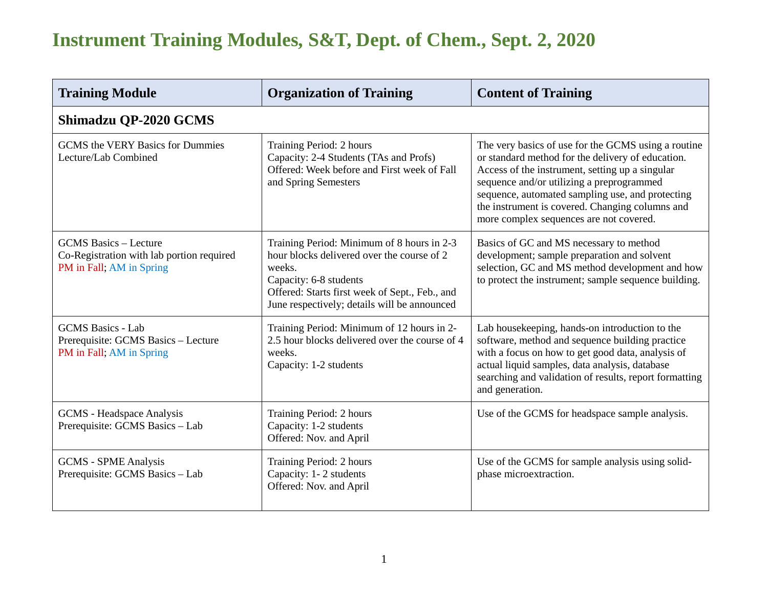| <b>Training Module</b>                                                                                | <b>Organization of Training</b>                                                                                                                                                                                                | <b>Content of Training</b>                                                                                                                                                                                                                                                                                                                                 |  |  |
|-------------------------------------------------------------------------------------------------------|--------------------------------------------------------------------------------------------------------------------------------------------------------------------------------------------------------------------------------|------------------------------------------------------------------------------------------------------------------------------------------------------------------------------------------------------------------------------------------------------------------------------------------------------------------------------------------------------------|--|--|
| Shimadzu QP-2020 GCMS                                                                                 |                                                                                                                                                                                                                                |                                                                                                                                                                                                                                                                                                                                                            |  |  |
| <b>GCMS</b> the VERY Basics for Dummies<br>Lecture/Lab Combined                                       | Training Period: 2 hours<br>Capacity: 2-4 Students (TAs and Profs)<br>Offered: Week before and First week of Fall<br>and Spring Semesters                                                                                      | The very basics of use for the GCMS using a routine<br>or standard method for the delivery of education.<br>Access of the instrument, setting up a singular<br>sequence and/or utilizing a preprogrammed<br>sequence, automated sampling use, and protecting<br>the instrument is covered. Changing columns and<br>more complex sequences are not covered. |  |  |
| <b>GCMS</b> Basics – Lecture<br>Co-Registration with lab portion required<br>PM in Fall; AM in Spring | Training Period: Minimum of 8 hours in 2-3<br>hour blocks delivered over the course of 2<br>weeks.<br>Capacity: 6-8 students<br>Offered: Starts first week of Sept., Feb., and<br>June respectively; details will be announced | Basics of GC and MS necessary to method<br>development; sample preparation and solvent<br>selection, GC and MS method development and how<br>to protect the instrument; sample sequence building.                                                                                                                                                          |  |  |
| <b>GCMS</b> Basics - Lab<br>Prerequisite: GCMS Basics - Lecture<br>PM in Fall; AM in Spring           | Training Period: Minimum of 12 hours in 2-<br>2.5 hour blocks delivered over the course of 4<br>weeks.<br>Capacity: 1-2 students                                                                                               | Lab housekeeping, hands-on introduction to the<br>software, method and sequence building practice<br>with a focus on how to get good data, analysis of<br>actual liquid samples, data analysis, database<br>searching and validation of results, report formatting<br>and generation.                                                                      |  |  |
| <b>GCMS</b> - Headspace Analysis<br>Prerequisite: GCMS Basics - Lab                                   | Training Period: 2 hours<br>Capacity: 1-2 students<br>Offered: Nov. and April                                                                                                                                                  | Use of the GCMS for headspace sample analysis.                                                                                                                                                                                                                                                                                                             |  |  |
| <b>GCMS - SPME Analysis</b><br>Prerequisite: GCMS Basics - Lab                                        | Training Period: 2 hours<br>Capacity: 1-2 students<br>Offered: Nov. and April                                                                                                                                                  | Use of the GCMS for sample analysis using solid-<br>phase microextraction.                                                                                                                                                                                                                                                                                 |  |  |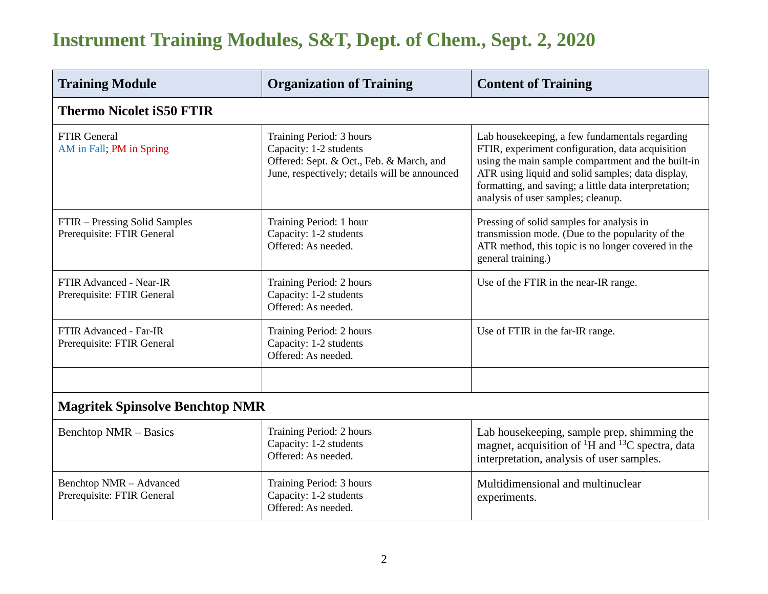| <b>Training Module</b>                                       | <b>Organization of Training</b>                                                                                                                 | <b>Content of Training</b>                                                                                                                                                                                                                                                                                   |  |  |
|--------------------------------------------------------------|-------------------------------------------------------------------------------------------------------------------------------------------------|--------------------------------------------------------------------------------------------------------------------------------------------------------------------------------------------------------------------------------------------------------------------------------------------------------------|--|--|
| <b>Thermo Nicolet iS50 FTIR</b>                              |                                                                                                                                                 |                                                                                                                                                                                                                                                                                                              |  |  |
| <b>FTIR General</b><br>AM in Fall; PM in Spring              | Training Period: 3 hours<br>Capacity: 1-2 students<br>Offered: Sept. & Oct., Feb. & March, and<br>June, respectively; details will be announced | Lab housekeeping, a few fundamentals regarding<br>FTIR, experiment configuration, data acquisition<br>using the main sample compartment and the built-in<br>ATR using liquid and solid samples; data display,<br>formatting, and saving; a little data interpretation;<br>analysis of user samples; cleanup. |  |  |
| FTIR – Pressing Solid Samples<br>Prerequisite: FTIR General  | Training Period: 1 hour<br>Capacity: 1-2 students<br>Offered: As needed.                                                                        | Pressing of solid samples for analysis in<br>transmission mode. (Due to the popularity of the<br>ATR method, this topic is no longer covered in the<br>general training.)                                                                                                                                    |  |  |
| <b>FTIR Advanced - Near-IR</b><br>Prerequisite: FTIR General | Training Period: 2 hours<br>Capacity: 1-2 students<br>Offered: As needed.                                                                       | Use of the FTIR in the near-IR range.                                                                                                                                                                                                                                                                        |  |  |
| FTIR Advanced - Far-IR<br>Prerequisite: FTIR General         | Training Period: 2 hours<br>Capacity: 1-2 students<br>Offered: As needed.                                                                       | Use of FTIR in the far-IR range.                                                                                                                                                                                                                                                                             |  |  |
|                                                              |                                                                                                                                                 |                                                                                                                                                                                                                                                                                                              |  |  |
| <b>Magritek Spinsolve Benchtop NMR</b>                       |                                                                                                                                                 |                                                                                                                                                                                                                                                                                                              |  |  |
| <b>Benchtop NMR – Basics</b>                                 | Training Period: 2 hours<br>Capacity: 1-2 students<br>Offered: As needed.                                                                       | Lab housekeeping, sample prep, shimming the<br>magnet, acquisition of <sup>1</sup> H and <sup>13</sup> C spectra, data<br>interpretation, analysis of user samples.                                                                                                                                          |  |  |
| Benchtop NMR - Advanced<br>Prerequisite: FTIR General        | Training Period: 3 hours<br>Capacity: 1-2 students<br>Offered: As needed.                                                                       | Multidimensional and multinuclear<br>experiments.                                                                                                                                                                                                                                                            |  |  |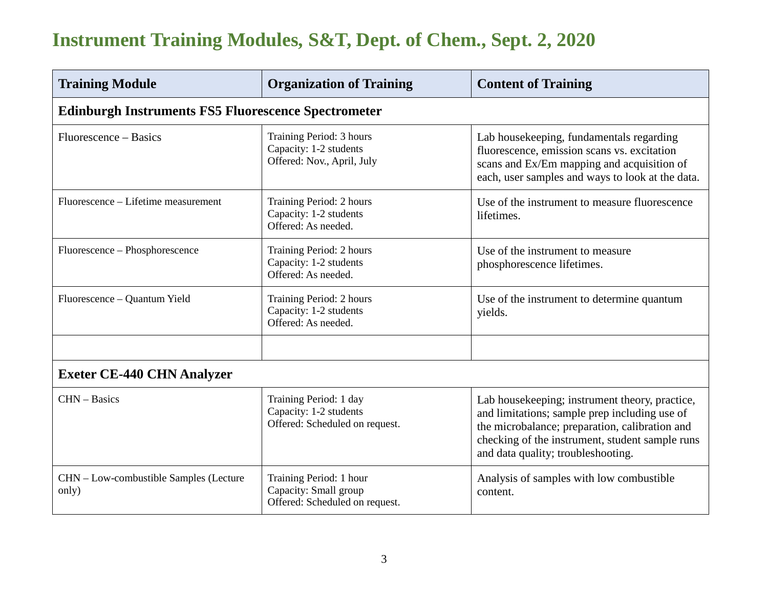| <b>Training Module</b>                                     | <b>Organization of Training</b>                                                    | <b>Content of Training</b>                                                                                                                                                                                                                 |  |  |
|------------------------------------------------------------|------------------------------------------------------------------------------------|--------------------------------------------------------------------------------------------------------------------------------------------------------------------------------------------------------------------------------------------|--|--|
| <b>Edinburgh Instruments FS5 Fluorescence Spectrometer</b> |                                                                                    |                                                                                                                                                                                                                                            |  |  |
| Fluorescence – Basics                                      | Training Period: 3 hours<br>Capacity: 1-2 students<br>Offered: Nov., April, July   | Lab housekeeping, fundamentals regarding<br>fluorescence, emission scans vs. excitation<br>scans and Ex/Em mapping and acquisition of<br>each, user samples and ways to look at the data.                                                  |  |  |
| Fluorescence – Lifetime measurement                        | Training Period: 2 hours<br>Capacity: 1-2 students<br>Offered: As needed.          | Use of the instrument to measure fluorescence<br>lifetimes.                                                                                                                                                                                |  |  |
| Fluorescence – Phosphorescence                             | Training Period: 2 hours<br>Capacity: 1-2 students<br>Offered: As needed.          | Use of the instrument to measure<br>phosphorescence lifetimes.                                                                                                                                                                             |  |  |
| Fluorescence – Quantum Yield                               | Training Period: 2 hours<br>Capacity: 1-2 students<br>Offered: As needed.          | Use of the instrument to determine quantum<br>yields.                                                                                                                                                                                      |  |  |
|                                                            |                                                                                    |                                                                                                                                                                                                                                            |  |  |
| <b>Exeter CE-440 CHN Analyzer</b>                          |                                                                                    |                                                                                                                                                                                                                                            |  |  |
| CHN - Basics                                               | Training Period: 1 day<br>Capacity: 1-2 students<br>Offered: Scheduled on request. | Lab housekeeping; instrument theory, practice,<br>and limitations; sample prep including use of<br>the microbalance; preparation, calibration and<br>checking of the instrument, student sample runs<br>and data quality; troubleshooting. |  |  |
| CHN - Low-combustible Samples (Lecture<br>only)            | Training Period: 1 hour<br>Capacity: Small group<br>Offered: Scheduled on request. | Analysis of samples with low combustible<br>content.                                                                                                                                                                                       |  |  |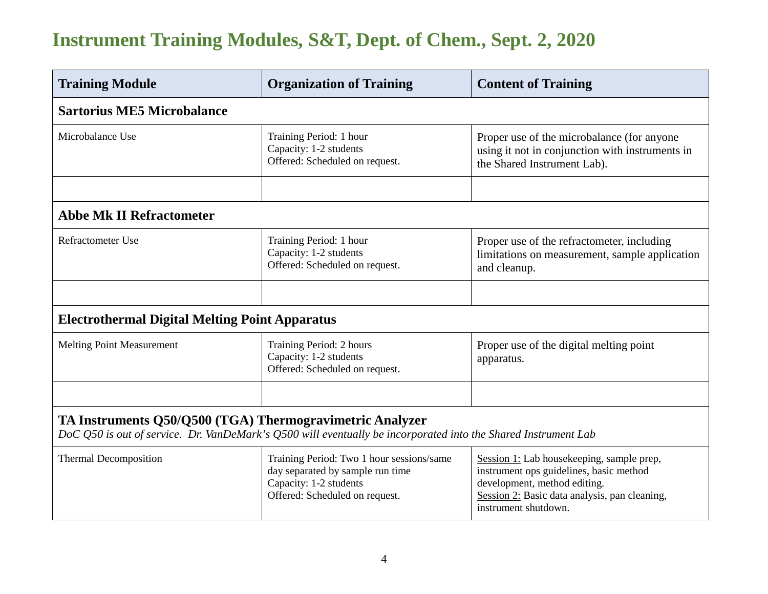| <b>Training Module</b>                                                                                                                                                     | <b>Organization of Training</b>                                                                                                           | <b>Content of Training</b>                                                                                                                                                                    |  |  |
|----------------------------------------------------------------------------------------------------------------------------------------------------------------------------|-------------------------------------------------------------------------------------------------------------------------------------------|-----------------------------------------------------------------------------------------------------------------------------------------------------------------------------------------------|--|--|
| <b>Sartorius ME5 Microbalance</b>                                                                                                                                          |                                                                                                                                           |                                                                                                                                                                                               |  |  |
| Microbalance Use                                                                                                                                                           | Training Period: 1 hour<br>Capacity: 1-2 students<br>Offered: Scheduled on request.                                                       | Proper use of the microbalance (for anyone<br>using it not in conjunction with instruments in<br>the Shared Instrument Lab).                                                                  |  |  |
|                                                                                                                                                                            |                                                                                                                                           |                                                                                                                                                                                               |  |  |
| <b>Abbe Mk II Refractometer</b>                                                                                                                                            |                                                                                                                                           |                                                                                                                                                                                               |  |  |
| <b>Refractometer Use</b>                                                                                                                                                   | Training Period: 1 hour<br>Capacity: 1-2 students<br>Offered: Scheduled on request.                                                       | Proper use of the refractometer, including<br>limitations on measurement, sample application<br>and cleanup.                                                                                  |  |  |
|                                                                                                                                                                            |                                                                                                                                           |                                                                                                                                                                                               |  |  |
| <b>Electrothermal Digital Melting Point Apparatus</b>                                                                                                                      |                                                                                                                                           |                                                                                                                                                                                               |  |  |
| <b>Melting Point Measurement</b>                                                                                                                                           | Training Period: 2 hours<br>Capacity: 1-2 students<br>Offered: Scheduled on request.                                                      | Proper use of the digital melting point<br>apparatus.                                                                                                                                         |  |  |
|                                                                                                                                                                            |                                                                                                                                           |                                                                                                                                                                                               |  |  |
| TA Instruments Q50/Q500 (TGA) Thermogravimetric Analyzer<br>DoC Q50 is out of service. Dr. VanDeMark's Q500 will eventually be incorporated into the Shared Instrument Lab |                                                                                                                                           |                                                                                                                                                                                               |  |  |
| <b>Thermal Decomposition</b>                                                                                                                                               | Training Period: Two 1 hour sessions/same<br>day separated by sample run time<br>Capacity: 1-2 students<br>Offered: Scheduled on request. | Session 1: Lab housekeeping, sample prep,<br>instrument ops guidelines, basic method<br>development, method editing.<br>Session 2: Basic data analysis, pan cleaning,<br>instrument shutdown. |  |  |